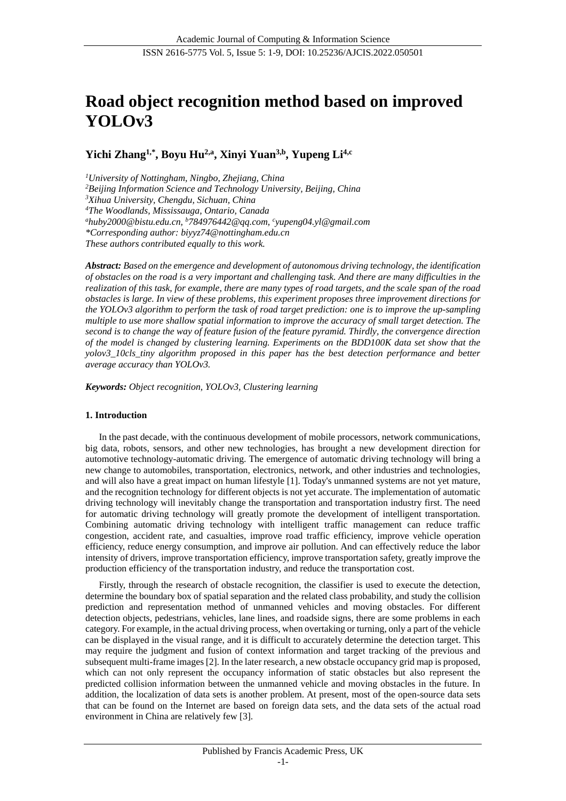# **Road object recognition method based on improved YOLOv3**

**Yichi Zhang1,\*, Boyu Hu 2,a, Xinyi Yuan3,b, Yupeng Li 4,c**

*<sup>1</sup>University of Nottingham, Ningbo, Zhejiang, China <sup>2</sup>Beijing Information Science and Technology University, Beijing, China <sup>3</sup>Xihua University, Chengdu, Sichuan, China <sup>4</sup>The Woodlands, Mississauga, Ontario, Canada <sup>a</sup>[huby2000@bistu.edu.cn,](mailto:huby2000@bistu.edu.cn) <sup>b</sup>784976442@qq.com, c yupeng04.yl@gmail.com \*Corresponding author: biyyz74@nottingham.edu.cn These authors contributed equally to this work.*

*Abstract: Based on the emergence and development of autonomous driving technology, the identification of obstacles on the road is a very important and challenging task. And there are many difficulties in the realization of this task, for example, there are many types of road targets, and the scale span of the road obstacles is large. In view of these problems, this experiment proposes three improvement directions for the YOLOv3 algorithm to perform the task of road target prediction: one is to improve the up-sampling multiple to use more shallow spatial information to improve the accuracy of small target detection. The second is to change the way of feature fusion of the feature pyramid. Thirdly, the convergence direction of the model is changed by clustering learning. Experiments on the BDD100K data set show that the yolov3\_10cls\_tiny algorithm proposed in this paper has the best detection performance and better average accuracy than YOLOv3.*

*Keywords: Object recognition, YOLOv3, Clustering learning*

# **1. Introduction**

In the past decade, with the continuous development of mobile processors, network communications, big data, robots, sensors, and other new technologies, has brought a new development direction for automotive technology-automatic driving. The emergence of automatic driving technology will bring a new change to automobiles, transportation, electronics, network, and other industries and technologies, and will also have a great impact on human lifestyle [1]. Today's unmanned systems are not yet mature, and the recognition technology for different objects is not yet accurate. The implementation of automatic driving technology will inevitably change the transportation and transportation industry first. The need for automatic driving technology will greatly promote the development of intelligent transportation. Combining automatic driving technology with intelligent traffic management can reduce traffic congestion, accident rate, and casualties, improve road traffic efficiency, improve vehicle operation efficiency, reduce energy consumption, and improve air pollution. And can effectively reduce the labor intensity of drivers, improve transportation efficiency, improve transportation safety, greatly improve the production efficiency of the transportation industry, and reduce the transportation cost.

Firstly, through the research of obstacle recognition, the classifier is used to execute the detection, determine the boundary box of spatial separation and the related class probability, and study the collision prediction and representation method of unmanned vehicles and moving obstacles. For different detection objects, pedestrians, vehicles, lane lines, and roadside signs, there are some problems in each category. For example, in the actual driving process, when overtaking or turning, only a part of the vehicle can be displayed in the visual range, and it is difficult to accurately determine the detection target. This may require the judgment and fusion of context information and target tracking of the previous and subsequent multi-frame images [2]. In the later research, a new obstacle occupancy grid map is proposed, which can not only represent the occupancy information of static obstacles but also represent the predicted collision information between the unmanned vehicle and moving obstacles in the future. In addition, the localization of data sets is another problem. At present, most of the open-source data sets that can be found on the Internet are based on foreign data sets, and the data sets of the actual road environment in China are relatively few [3].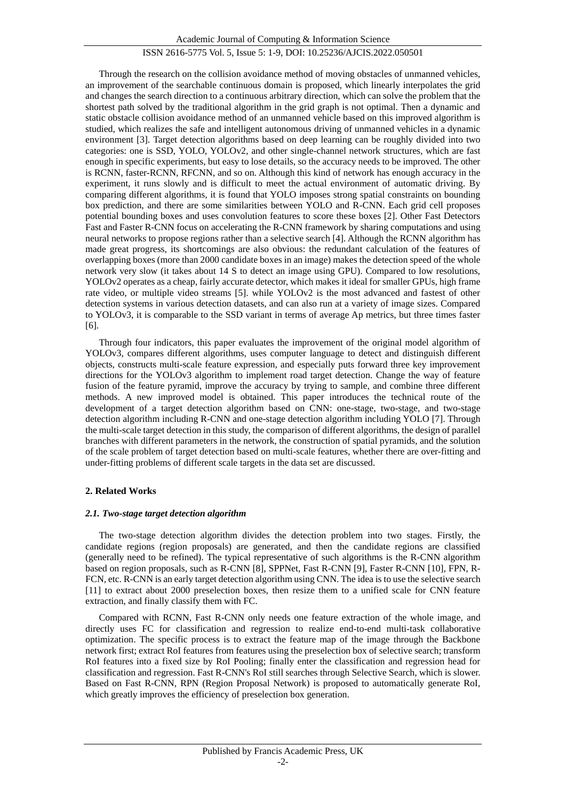Through the research on the collision avoidance method of moving obstacles of unmanned vehicles, an improvement of the searchable continuous domain is proposed, which linearly interpolates the grid and changes the search direction to a continuous arbitrary direction, which can solve the problem that the shortest path solved by the traditional algorithm in the grid graph is not optimal. Then a dynamic and static obstacle collision avoidance method of an unmanned vehicle based on this improved algorithm is studied, which realizes the safe and intelligent autonomous driving of unmanned vehicles in a dynamic environment [3]. Target detection algorithms based on deep learning can be roughly divided into two categories: one is SSD, YOLO, YOLOv2, and other single-channel network structures, which are fast enough in specific experiments, but easy to lose details, so the accuracy needs to be improved. The other is RCNN, faster-RCNN, RFCNN, and so on. Although this kind of network has enough accuracy in the experiment, it runs slowly and is difficult to meet the actual environment of automatic driving. By comparing different algorithms, it is found that YOLO imposes strong spatial constraints on bounding box prediction, and there are some similarities between YOLO and R-CNN. Each grid cell proposes potential bounding boxes and uses convolution features to score these boxes [2]. Other Fast Detectors Fast and Faster R-CNN focus on accelerating the R-CNN framework by sharing computations and using neural networks to propose regions rather than a selective search [4]. Although the RCNN algorithm has made great progress, its shortcomings are also obvious: the redundant calculation of the features of overlapping boxes (more than 2000 candidate boxes in an image) makes the detection speed of the whole network very slow (it takes about 14 S to detect an image using GPU). Compared to low resolutions, YOLOv2 operates as a cheap, fairly accurate detector, which makes it ideal for smaller GPUs, high frame rate video, or multiple video streams [5]. while YOLOv2 is the most advanced and fastest of other detection systems in various detection datasets, and can also run at a variety of image sizes. Compared to YOLOv3, it is comparable to the SSD variant in terms of average Ap metrics, but three times faster [6].

Through four indicators, this paper evaluates the improvement of the original model algorithm of YOLOv3, compares different algorithms, uses computer language to detect and distinguish different objects, constructs multi-scale feature expression, and especially puts forward three key improvement directions for the YOLOv3 algorithm to implement road target detection. Change the way of feature fusion of the feature pyramid, improve the accuracy by trying to sample, and combine three different methods. A new improved model is obtained. This paper introduces the technical route of the development of a target detection algorithm based on CNN: one-stage, two-stage, and two-stage detection algorithm including R-CNN and one-stage detection algorithm including YOLO [7]. Through the multi-scale target detection in this study, the comparison of different algorithms, the design of parallel branches with different parameters in the network, the construction of spatial pyramids, and the solution of the scale problem of target detection based on multi-scale features, whether there are over-fitting and under-fitting problems of different scale targets in the data set are discussed.

# **2. Related Works**

## *2.1. Two-stage target detection algorithm*

The two-stage detection algorithm divides the detection problem into two stages. Firstly, the candidate regions (region proposals) are generated, and then the candidate regions are classified (generally need to be refined). The typical representative of such algorithms is the R-CNN algorithm based on region proposals, such as R-CNN [8], SPPNet, Fast R-CNN [9], Faster R-CNN [10], FPN, R-FCN, etc. R-CNN is an early target detection algorithm using CNN. The idea is to use the selective search [11] to extract about 2000 preselection boxes, then resize them to a unified scale for CNN feature extraction, and finally classify them with FC.

Compared with RCNN, Fast R-CNN only needs one feature extraction of the whole image, and directly uses FC for classification and regression to realize end-to-end multi-task collaborative optimization. The specific process is to extract the feature map of the image through the Backbone network first; extract RoI features from features using the preselection box of selective search; transform RoI features into a fixed size by RoI Pooling; finally enter the classification and regression head for classification and regression. Fast R-CNN's RoI still searches through Selective Search, which is slower. Based on Fast R-CNN, RPN (Region Proposal Network) is proposed to automatically generate RoI, which greatly improves the efficiency of preselection box generation.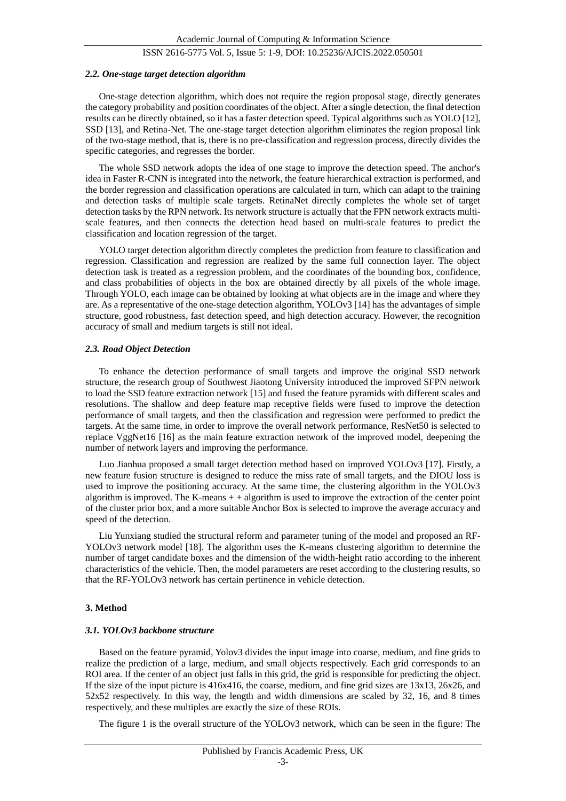### *2.2. One-stage target detection algorithm*

One-stage detection algorithm, which does not require the region proposal stage, directly generates the category probability and position coordinates of the object. After a single detection, the final detection results can be directly obtained, so it has a faster detection speed. Typical algorithms such as YOLO [12], SSD [13], and Retina-Net. The one-stage target detection algorithm eliminates the region proposal link of the two-stage method, that is, there is no pre-classification and regression process, directly divides the specific categories, and regresses the border.

The whole SSD network adopts the idea of one stage to improve the detection speed. The anchor's idea in Faster R-CNN is integrated into the network, the feature hierarchical extraction is performed, and the border regression and classification operations are calculated in turn, which can adapt to the training and detection tasks of multiple scale targets. RetinaNet directly completes the whole set of target detection tasks by the RPN network. Its network structure is actually that the FPN network extracts multiscale features, and then connects the detection head based on multi-scale features to predict the classification and location regression of the target.

YOLO target detection algorithm directly completes the prediction from feature to classification and regression. Classification and regression are realized by the same full connection layer. The object detection task is treated as a regression problem, and the coordinates of the bounding box, confidence, and class probabilities of objects in the box are obtained directly by all pixels of the whole image. Through YOLO, each image can be obtained by looking at what objects are in the image and where they are. As a representative of the one-stage detection algorithm, YOLOv3 [14] has the advantages of simple structure, good robustness, fast detection speed, and high detection accuracy. However, the recognition accuracy of small and medium targets is still not ideal.

#### *2.3. Road Object Detection*

To enhance the detection performance of small targets and improve the original SSD network structure, the research group of Southwest Jiaotong University introduced the improved SFPN network to load the SSD feature extraction network [15] and fused the feature pyramids with different scales and resolutions. The shallow and deep feature map receptive fields were fused to improve the detection performance of small targets, and then the classification and regression were performed to predict the targets. At the same time, in order to improve the overall network performance, ResNet50 is selected to replace VggNet16 [16] as the main feature extraction network of the improved model, deepening the number of network layers and improving the performance.

Luo Jianhua proposed a small target detection method based on improved YOLOv3 [17]. Firstly, a new feature fusion structure is designed to reduce the miss rate of small targets, and the DIOU loss is used to improve the positioning accuracy. At the same time, the clustering algorithm in the YOLOv3 algorithm is improved. The K-means  $+$  + algorithm is used to improve the extraction of the center point of the cluster prior box, and a more suitable Anchor Box is selected to improve the average accuracy and speed of the detection.

Liu Yunxiang studied the structural reform and parameter tuning of the model and proposed an RF-YOLOv3 network model [18]. The algorithm uses the K-means clustering algorithm to determine the number of target candidate boxes and the dimension of the width-height ratio according to the inherent characteristics of the vehicle. Then, the model parameters are reset according to the clustering results, so that the RF-YOLOv3 network has certain pertinence in vehicle detection.

## **3. Method**

#### *3.1. YOLOv3 backbone structure*

Based on the feature pyramid, Yolov3 divides the input image into coarse, medium, and fine grids to realize the prediction of a large, medium, and small objects respectively. Each grid corresponds to an ROI area. If the center of an object just falls in this grid, the grid is responsible for predicting the object. If the size of the input picture is 416x416, the coarse, medium, and fine grid sizes are 13x13, 26x26, and  $52x52$  respectively. In this way, the length and width dimensions are scaled by 32, 16, and 8 times respectively, and these multiples are exactly the size of these ROIs.

The figure 1 is the overall structure of the YOLOv3 network, which can be seen in the figure: The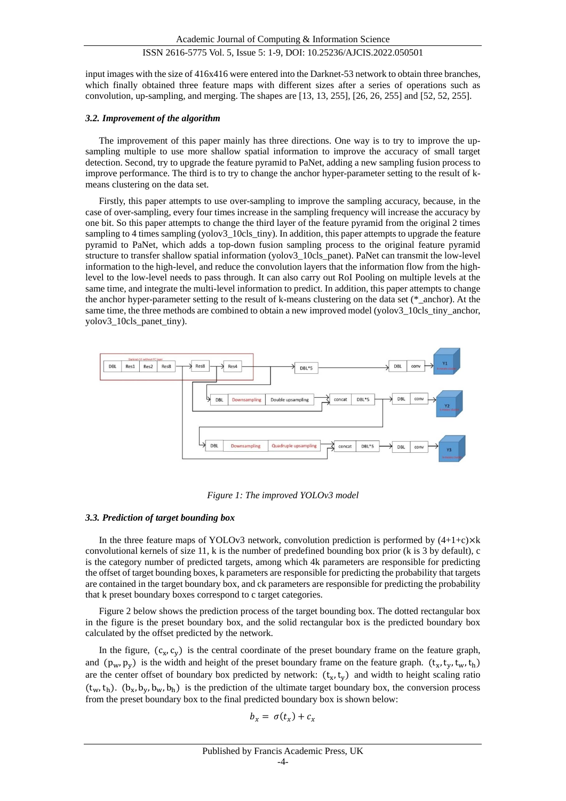input images with the size of 416x416 were entered into the Darknet-53 network to obtain three branches, which finally obtained three feature maps with different sizes after a series of operations such as convolution, up-sampling, and merging. The shapes are [13, 13, 255], [26, 26, 255] and [52, 52, 255].

# *3.2. Improvement of the algorithm*

The improvement of this paper mainly has three directions. One way is to try to improve the upsampling multiple to use more shallow spatial information to improve the accuracy of small target detection. Second, try to upgrade the feature pyramid to PaNet, adding a new sampling fusion process to improve performance. The third is to try to change the anchor hyper-parameter setting to the result of kmeans clustering on the data set.

Firstly, this paper attempts to use over-sampling to improve the sampling accuracy, because, in the case of over-sampling, every four times increase in the sampling frequency will increase the accuracy by one bit. So this paper attempts to change the third layer of the feature pyramid from the original 2 times sampling to 4 times sampling (yolov3\_10cls\_tiny). In addition, this paper attempts to upgrade the feature pyramid to PaNet, which adds a top-down fusion sampling process to the original feature pyramid structure to transfer shallow spatial information (yolov3\_10cls\_panet). PaNet can transmit the low-level information to the high-level, and reduce the convolution layers that the information flow from the highlevel to the low-level needs to pass through. It can also carry out RoI Pooling on multiple levels at the same time, and integrate the multi-level information to predict. In addition, this paper attempts to change the anchor hyper-parameter setting to the result of k-means clustering on the data set (\*\_anchor). At the same time, the three methods are combined to obtain a new improved model (yolov3\_10cls\_tiny\_anchor, yolov3\_10cls\_panet\_tiny).



*Figure 1: The improved YOLOv3 model*

## *3.3. Prediction of target bounding box*

In the three feature maps of YOLOv3 network, convolution prediction is performed by  $(4+1+c)\times k$ convolutional kernels of size 11, k is the number of predefined bounding box prior (k is 3 by default), c is the category number of predicted targets, among which 4k parameters are responsible for predicting the offset of target bounding boxes, k parameters are responsible for predicting the probability that targets are contained in the target boundary box, and ck parameters are responsible for predicting the probability that k preset boundary boxes correspond to c target categories.

Figure 2 below shows the prediction process of the target bounding box. The dotted rectangular box in the figure is the preset boundary box, and the solid rectangular box is the predicted boundary box calculated by the offset predicted by the network.

In the figure,  $(c_x, c_y)$  is the central coordinate of the preset boundary frame on the feature graph, and  $(p_w, p_y)$  is the width and height of the preset boundary frame on the feature graph.  $(t_x, t_y, t_w, t_h)$ are the center offset of boundary box predicted by network:  $(t_x, t_y)$  and width to height scaling ratio  $(t_w, t_h)$ .  $(b_x, b_y, b_w, b_h)$  is the prediction of the ultimate target boundary box, the conversion process from the preset boundary box to the final predicted boundary box is shown below:

$$
b_x = \sigma(t_x) + c_x
$$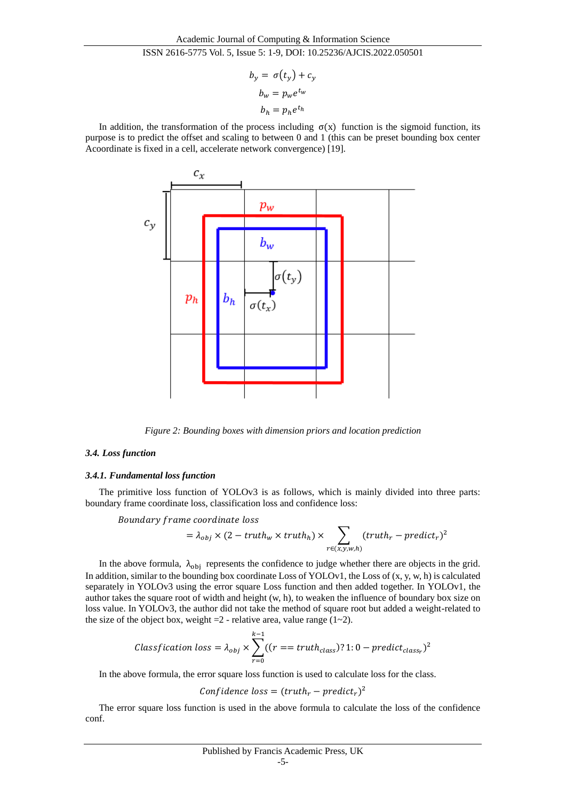$$
b_y = \sigma(t_y) + c_y
$$

$$
b_w = p_w e^{t_w}
$$

$$
b_h = p_h e^{t_h}
$$

In addition, the transformation of the process including  $\sigma(x)$  function is the sigmoid function, its purpose is to predict the offset and scaling to between 0 and 1 (this can be preset bounding box center Acoordinate is fixed in a cell, accelerate network convergence) [19].



*Figure 2: Bounding boxes with dimension priors and location prediction*

# *3.4. Loss function*

## *3.4.1. Fundamental loss function*

The primitive loss function of YOLOv3 is as follows, which is mainly divided into three parts: boundary frame coordinate loss, classification loss and confidence loss:

Boundary frame coordinate loss

$$
= \lambda_{obj} \times (2 - truth_w \times truth_h) \times \sum_{r \in (x, y, w, h)} (truth_r - predict_r)^2
$$

In the above formula,  $\lambda_{obj}$  represents the confidence to judge whether there are objects in the grid. In addition, similar to the bounding box coordinate Loss of YOLOv1, the Loss of  $(x, y, w, h)$  is calculated separately in YOLOv3 using the error square Loss function and then added together. In YOLOv1, the author takes the square root of width and height (w, h), to weaken the influence of boundary box size on loss value. In YOLOv3, the author did not take the method of square root but added a weight-related to the size of the object box, weight  $=2$  - relative area, value range  $(1-2)$ .

$$
Classification loss = \lambda_{obj} \times \sum_{r=0}^{k-1} ((r == truth_{class}) ? 1 : 0 - predict_{class_r})^2
$$

In the above formula, the error square loss function is used to calculate loss for the class.

Confidence loss =  $(truth_r - predict_r)^2$ 

The error square loss function is used in the above formula to calculate the loss of the confidence conf.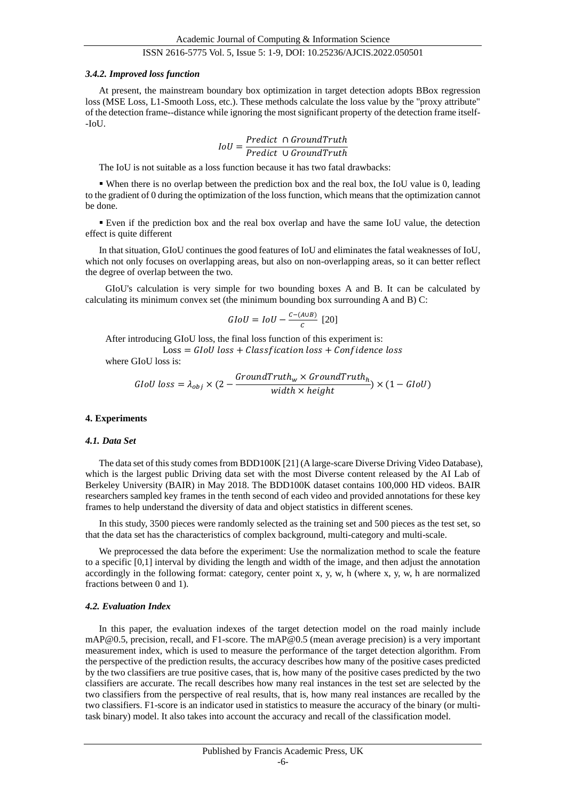### *3.4.2. Improved loss function*

At present, the mainstream boundary box optimization in target detection adopts BBox regression loss (MSE Loss, L1-Smooth Loss, etc.). These methods calculate the loss value by the "proxy attribute" of the detection frame--distance while ignoring the most significant property of the detection frame itself-  $-I<sub>o</sub>U<sub>1</sub>$ 

$$
IoU = \frac{Predict \cap GroundTruth}{Predict \cup GroundTruth}
$$

The IoU is not suitable as a loss function because it has two fatal drawbacks:

 When there is no overlap between the prediction box and the real box, the IoU value is 0, leading to the gradient of 0 during the optimization of the loss function, which means that the optimization cannot be done.

 Even if the prediction box and the real box overlap and have the same IoU value, the detection effect is quite different

In that situation, GIoU continues the good features of IoU and eliminates the fatal weaknesses of IoU, which not only focuses on overlapping areas, but also on non-overlapping areas, so it can better reflect the degree of overlap between the two.

GIoU's calculation is very simple for two bounding boxes A and B. It can be calculated by calculating its minimum convex set (the minimum bounding box surrounding A and B) C:

$$
GIoU = IoU - \frac{c - (A \cup B)}{c} \ [20]
$$

After introducing GIoU loss, the final loss function of this experiment is:  $Loss = GIoU loss + Classification loss + Confidence loss$ where GIoU loss is:

$$
GIoU loss = \lambda_{obj} \times (2 - \frac{GroundTruth_w \times GroundTruth_h}{width \times height}) \times (1 - GIoU)
$$

#### **4. Experiments**

### *4.1. Data Set*

The data set of this study comes from BDD100K [21] (A large-scare Diverse Driving Video Database), which is the largest public Driving data set with the most Diverse content released by the AI Lab of Berkeley University (BAIR) in May 2018. The BDD100K dataset contains 100,000 HD videos. BAIR researchers sampled key frames in the tenth second of each video and provided annotations for these key frames to help understand the diversity of data and object statistics in different scenes.

In this study, 3500 pieces were randomly selected as the training set and 500 pieces as the test set, so that the data set has the characteristics of complex background, multi-category and multi-scale.

We preprocessed the data before the experiment: Use the normalization method to scale the feature to a specific [0,1] interval by dividing the length and width of the image, and then adjust the annotation accordingly in the following format: category, center point x, y, w, h (where x, y, w, h are normalized fractions between 0 and 1).

#### *4.2. Evaluation Index*

In this paper, the evaluation indexes of the target detection model on the road mainly include mAP@0.5, precision, recall, and F1-score. The mAP@0.5 (mean average precision) is a very important measurement index, which is used to measure the performance of the target detection algorithm. From the perspective of the prediction results, the accuracy describes how many of the positive cases predicted by the two classifiers are true positive cases, that is, how many of the positive cases predicted by the two classifiers are accurate. The recall describes how many real instances in the test set are selected by the two classifiers from the perspective of real results, that is, how many real instances are recalled by the two classifiers. F1-score is an indicator used in statistics to measure the accuracy of the binary (or multitask binary) model. It also takes into account the accuracy and recall of the classification model.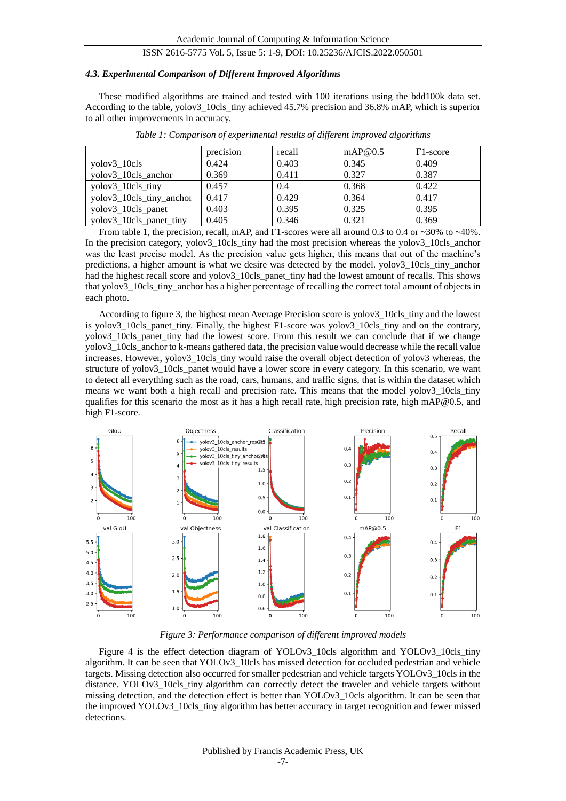## *4.3. Experimental Comparison of Different Improved Algorithms*

These modified algorithms are trained and tested with 100 iterations using the bdd100k data set. According to the table, yolov3\_10cls\_tiny achieved 45.7% precision and 36.8% mAP, which is superior to all other improvements in accuracy.

|                          | precision | recall | mAP@0.5 | F <sub>1</sub> -score |
|--------------------------|-----------|--------|---------|-----------------------|
| volov3 10cls             | 0.424     | 0.403  | 0.345   | 0.409                 |
| yolov3_10cls_anchor      | 0.369     | 0.411  | 0.327   | 0.387                 |
| yolov3_10cls_tiny        | 0.457     | 0.4    | 0.368   | 0.422                 |
| yolov3_10cls_tiny_anchor | 0.417     | 0.429  | 0.364   | 0.417                 |
| yolov3_10cls_panet       | 0.403     | 0.395  | 0.325   | 0.395                 |
| yolov3_10cls_panet_tiny  | 0.405     | 0.346  | 0.321   | 0.369                 |

*Table 1: Comparison of experimental results of different improved algorithms*

From table 1, the precision, recall, mAP, and F1-scores were all around 0.3 to 0.4 or  $\sim$ 30% to  $\sim$ 40%. In the precision category, yolov3 10cls tiny had the most precision whereas the yolov3 10cls anchor was the least precise model. As the precision value gets higher, this means that out of the machine's predictions, a higher amount is what we desire was detected by the model. yolov3\_10cls\_tiny\_anchor had the highest recall score and yolov3\_10cls\_panet\_tiny had the lowest amount of recalls. This shows that yolov3 10cls tiny anchor has a higher percentage of recalling the correct total amount of objects in each photo.

According to figure 3, the highest mean Average Precision score is yolov3\_10cls\_tiny and the lowest is yolov3 10cls panet tiny. Finally, the highest F1-score was yolov3 10cls tiny and on the contrary, yolov3 10cls panet tiny had the lowest score. From this result we can conclude that if we change yolov3\_10cls\_anchor to k-means gathered data, the precision value would decrease while the recall value increases. However, yolov3\_10cls\_tiny would raise the overall object detection of yolov3 whereas, the structure of yolov3\_10cls\_panet would have a lower score in every category. In this scenario, we want to detect all everything such as the road, cars, humans, and traffic signs, that is within the dataset which means we want both a high recall and precision rate. This means that the model yolov3 10cls tiny qualifies for this scenario the most as it has a high recall rate, high precision rate, high mAP@0.5, and high F1-score.



*Figure 3: Performance comparison of different improved models*

Figure 4 is the effect detection diagram of YOLOv3\_10cls algorithm and YOLOv3\_10cls\_tiny algorithm. It can be seen that YOLOv3\_10cls has missed detection for occluded pedestrian and vehicle targets. Missing detection also occurred for smaller pedestrian and vehicle targets YOLOv3\_10cls in the distance. YOLOv3\_10cls\_tiny algorithm can correctly detect the traveler and vehicle targets without missing detection, and the detection effect is better than YOLOv3\_10cls algorithm. It can be seen that the improved YOLOv3\_10cls\_tiny algorithm has better accuracy in target recognition and fewer missed detections.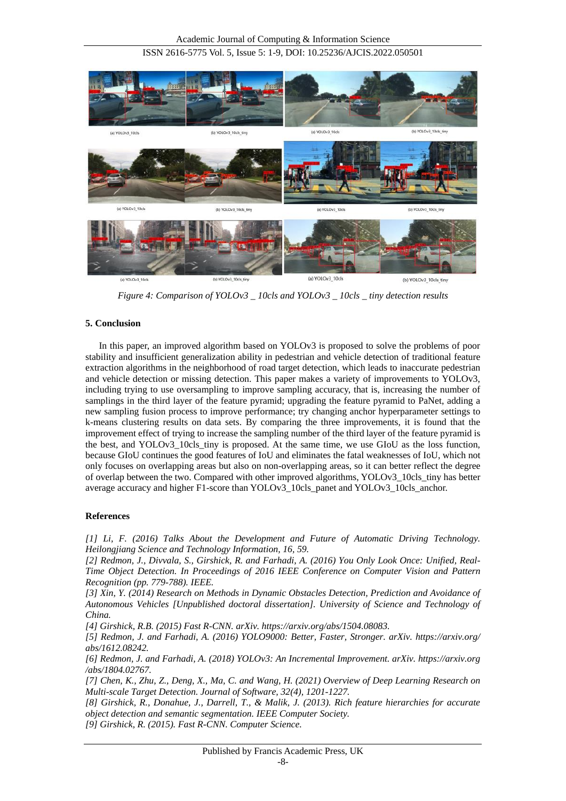

*Figure 4: Comparison of YOLOv3 \_ 10cls and YOLOv3 \_ 10cls \_ tiny detection results*

# **5. Conclusion**

In this paper, an improved algorithm based on YOLOv3 is proposed to solve the problems of poor stability and insufficient generalization ability in pedestrian and vehicle detection of traditional feature extraction algorithms in the neighborhood of road target detection, which leads to inaccurate pedestrian and vehicle detection or missing detection. This paper makes a variety of improvements to YOLOv3, including trying to use oversampling to improve sampling accuracy, that is, increasing the number of samplings in the third layer of the feature pyramid; upgrading the feature pyramid to PaNet, adding a new sampling fusion process to improve performance; try changing anchor hyperparameter settings to k-means clustering results on data sets. By comparing the three improvements, it is found that the improvement effect of trying to increase the sampling number of the third layer of the feature pyramid is the best, and YOLOv3\_10cls\_tiny is proposed. At the same time, we use GIoU as the loss function, because GIoU continues the good features of IoU and eliminates the fatal weaknesses of IoU, which not only focuses on overlapping areas but also on non-overlapping areas, so it can better reflect the degree of overlap between the two. Compared with other improved algorithms, YOLOv3\_10cls\_tiny has better average accuracy and higher F1-score than YOLOv3\_10cls\_panet and YOLOv3\_10cls\_anchor.

# **References**

*[1] Li, F. (2016) Talks About the Development and Future of Automatic Driving Technology. Heilongjiang Science and Technology Information, 16, 59.*

*[2] Redmon, J., Divvala, S., Girshick, R. and Farhadi, A. (2016) You Only Look Once: Unified, Real-Time Object Detection. In Proceedings of 2016 IEEE Conference on Computer Vision and Pattern Recognition (pp. 779-788). IEEE.*

*[3] Xin, Y. (2014) Research on Methods in Dynamic Obstacles Detection, Prediction and Avoidance of Autonomous Vehicles [Unpublished doctoral dissertation]. University of Science and Technology of China.*

*[4] Girshick, R.B. (2015) Fast R-CNN. arXiv. https://arxiv.org/abs/1504.08083.*

*[5] Redmon, J. and Farhadi, A. (2016) YOLO9000: Better, Faster, Stronger. arXiv. https://arxiv.org/ abs/1612.08242.*

*[6] Redmon, J. and Farhadi, A. (2018) YOLOv3: An Incremental Improvement. arXiv. https://arxiv.org /abs/1804.02767.*

*[7] Chen, K., Zhu, Z., Deng, X., Ma, C. and Wang, H. (2021) Overview of Deep Learning Research on Multi-scale Target Detection. Journal of Software, 32(4), 1201-1227.*

*[8] Girshick, R., Donahue, J., Darrell, T., & Malik, J. (2013). Rich feature hierarchies for accurate object detection and semantic segmentation. IEEE Computer Society.*

*[9] Girshick, R. (2015). Fast R-CNN. Computer Science.*